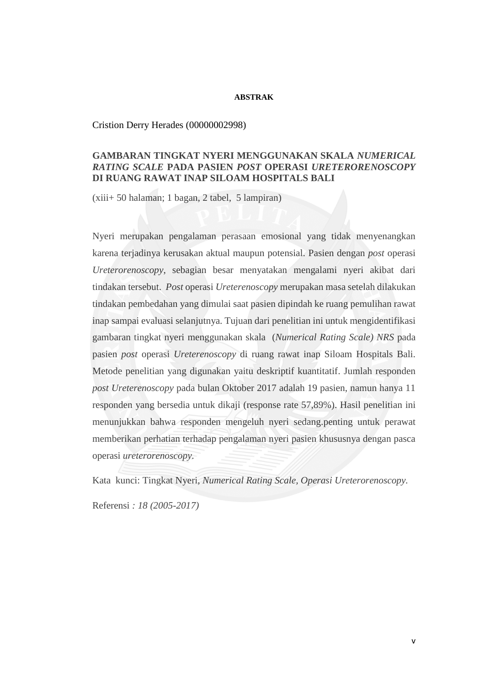## **ABSTRAK**

## Cristion Derry Herades (00000002998)

# **GAMBARAN TINGKAT NYERI MENGGUNAKAN SKALA** *NUMERICAL RATING SCALE* **PADA PASIEN** *POST* **OPERASI** *URETERORENOSCOPY* **DI RUANG RAWAT INAP SILOAM HOSPITALS BALI**

(xiii+ 50 halaman; 1 bagan, 2 tabel, 5 lampiran)

Nyeri merupakan pengalaman perasaan emosional yang tidak menyenangkan karena terjadinya kerusakan aktual maupun potensial. Pasien dengan *post* operasi *Ureterorenoscopy*, sebagian besar menyatakan mengalami nyeri akibat dari tindakan tersebut. *Post* operasi *Ureterenoscopy* merupakan masa setelah dilakukan tindakan pembedahan yang dimulai saat pasien dipindah ke ruang pemulihan rawat inap sampai evaluasi selanjutnya. Tujuan dari penelitian ini untuk mengidentifikasi gambaran tingkat nyeri menggunakan skala (*Numerical Rating Scale) NRS* pada pasien *post* operasi *Ureterenoscopy* di ruang rawat inap Siloam Hospitals Bali. Metode penelitian yang digunakan yaitu deskriptif kuantitatif. Jumlah responden *post Ureterenoscopy* pada bulan Oktober 2017 adalah 19 pasien, namun hanya 11 responden yang bersedia untuk dikaji (response rate 57,89%). Hasil penelitian ini menunjukkan bahwa responden mengeluh nyeri sedang.penting untuk perawat memberikan perhatian terhadap pengalaman nyeri pasien khususnya dengan pasca operasi *ureterorenoscopy.*

Kata kunci: Tingkat Nyeri, *Numerical Rating Scale, Operasi Ureterorenoscopy.*

Referensi *: 18 (2005-2017)*